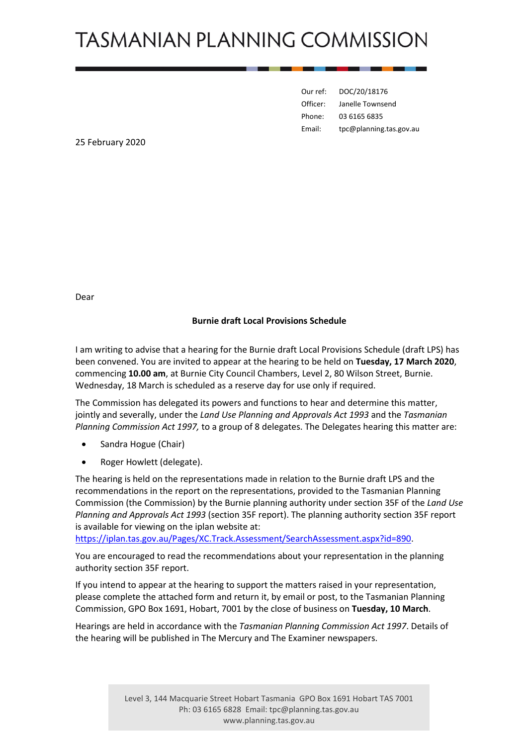## **TASMANIAN PLANNING COMMISSION**

| Our ref: | DOC/20/18176            |
|----------|-------------------------|
| Officer: | Janelle Townsend        |
| Phone:   | 03 6165 6835            |
| Email:   | tpc@planning.tas.gov.au |

25 February 2020

Dear

## **Burnie draft Local Provisions Schedule**

I am writing to advise that a hearing for the Burnie draft Local Provisions Schedule (draft LPS) has been convened. You are invited to appear at the hearing to be held on **Tuesday, 17 March 2020**, commencing **10.00 am**, at Burnie City Council Chambers, Level 2, 80 Wilson Street, Burnie. Wednesday, 18 March is scheduled as a reserve day for use only if required.

The Commission has delegated its powers and functions to hear and determine this matter, jointly and severally, under the *Land Use Planning and Approvals Act 1993* and the *Tasmanian Planning Commission Act 1997,* to a group of 8 delegates. The Delegates hearing this matter are:

- Sandra Hogue (Chair)
- Roger Howlett (delegate).

The hearing is held on the representations made in relation to the Burnie draft LPS and the recommendations in the report on the representations, provided to the Tasmanian Planning Commission (the Commission) by the Burnie planning authority under section 35F of the *Land Use Planning and Approvals Act 1993* (section 35F report). The planning authority section 35F report is available for viewing on the iplan website at:

[https://iplan.tas.gov.au/Pages/XC.Track.Assessment/SearchAssessment.aspx?id=890.](https://iplan.tas.gov.au/Pages/XC.Track.Assessment/SearchAssessment.aspx?id=890)

You are encouraged to read the recommendations about your representation in the planning authority section 35F report.

If you intend to appear at the hearing to support the matters raised in your representation, please complete the attached form and return it, by email or post, to the Tasmanian Planning Commission, GPO Box 1691, Hobart, 7001 by the close of business on **Tuesday, 10 March**.

Hearings are held in accordance with the *Tasmanian Planning Commission Act 1997*. Details of the hearing will be published in The Mercury and The Examiner newspapers.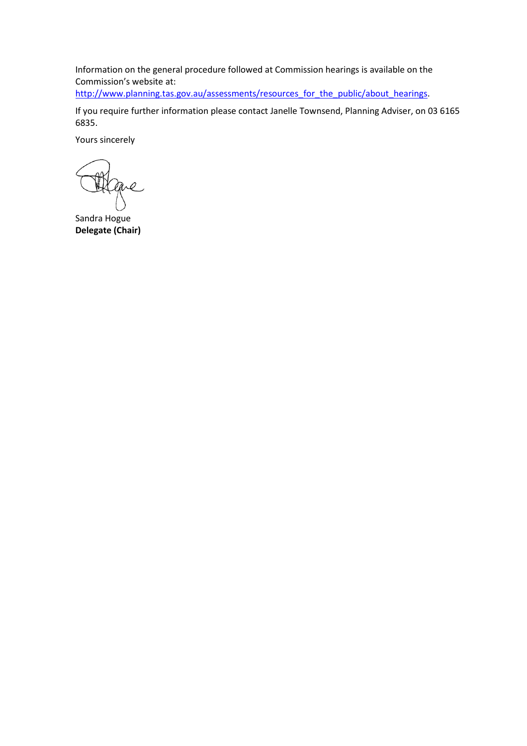Information on the general procedure followed at Commission hearings is available on the Commission's website at:

[http://www.planning.tas.gov.au/assessments/resources\\_for\\_the\\_public/about\\_hearings.](http://www.planning.tas.gov.au/assessments/resources_for_the_public/about_hearings)

If you require further information please contact Janelle Townsend, Planning Adviser, on 03 6165 6835.

Yours sincerely

are

Sandra Hogue **Delegate (Chair)**